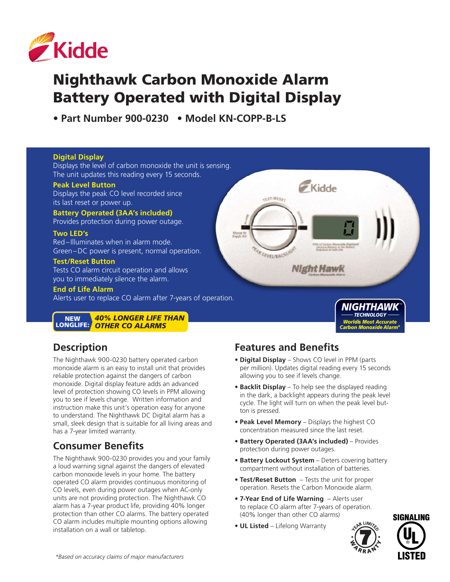

# Nighthawk Carbon Monoxide Alarm Battery Operated with Digital Display

**• Part Number 900-0230 • Model KN-COPP-B-LS** 

#### **Digital Display**

Displays the level of carbon monoxide the unit is sensing. The unit updates this reading every 15 seconds.

#### **Peak Level Button**

Displays the peak CO level recorded since its last reset or power up.

**Battery Operated (3AA's included)** Provides protection during power outage.

#### **Two LED's**

Red–Illuminates when in alarm mode. Green–DC power is present, normal operation.

#### **Test/Reset Button**

Tests CO alarm circuit operation and allows you to immediately silence the alarm.

**End of Life Alarm**

Alerts user to replace CO alarm after 7-years of operation.

*40% LONGER LIFE THAN OTHER CO ALARMS* **NEW** LONGLIFE:

### **Description**

The Nighthawk 900-0230 battery operated carbon monoxide alarm is an easy to install unit that provides reliable protection against the dangers of carbon monoxide. Digital display feature adds an advanced level of protection showing CO levels in PPM allowing you to see if levels change. Written information and instruction make this unit's operation easy for anyone to understand. The Nighthawk DC Digital alarm has a small, sleek design that is suitable for all living areas and has a 7-year limited warranty.

### **Consumer Benefits**

The Nighthawk 900-0230 provides you and your family a loud warning signal against the dangers of elevated carbon monoxide levels in your home. The battery operated CO alarm provides continuous monitoring of CO levels, even during power outages when AC-only units are not providing protection. The Nighthawk CO alarm has a 7-year product life, providing 40% longer protection than other CO alarms. The battery operated CO alarm includes multiple mounting options allowing installation on a wall or tabletop.

### **Features and Benefits**

TEST/RESET

FAR LEVEL/BACKLIGY

**• Digital Display** – Shows CO level in PPM (parts per million). Updates digital reading every 15 seconds allowing you to see if levels change.

**Kidde** 

**Night Hawk** 

- **• Backlit Display**  To help see the displayed reading in the dark, a backlight appears during the peak level cycle. The light will turn on when the peak level button is pressed.
- **• Peak Level Memory**  Displays the highest CO concentration measured since the last reset.
- **• Battery Operated (3AA's included)**  Provides protection during power outages.
- Battery Lockout System Deters covering battery compartment without installation of batteries.
- **• Test/Reset Button**  Tests the unit for proper operation. Resets the Carbon Monoxide alarm.
- **• 7-Year End of Life Warning**  Alerts user to replace CO alarm after 7-years of operation. (40% longer than other CO alarms)
- **• UL Listed** Lifelong Warranty



*NIGHTHAWK TECHNOLOGY Worldís Most Accurate Carbon Monoxide Alarm\**

*TM*